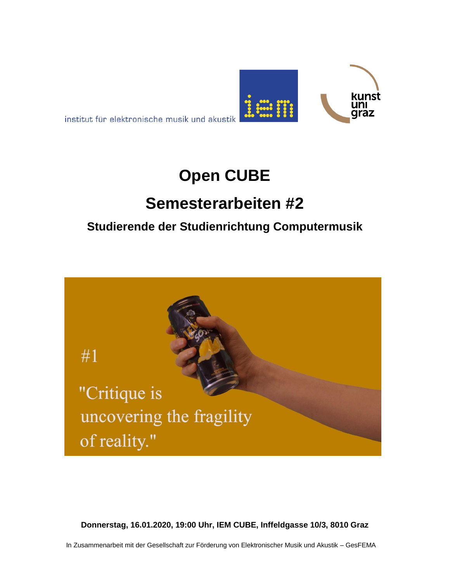

institut für elektronische musik und akustik

# **Open CUBE**

## **Semesterarbeiten #2**

### **Studierende der Studienrichtung Computermusik**



**Donnerstag, 16.01.2020, 19:00 Uhr, IEM CUBE, Inffeldgasse 10/3, 8010 Graz**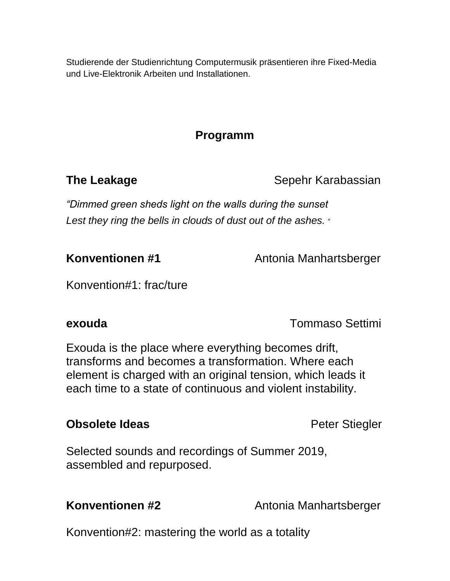Studierende der Studienrichtung Computermusik präsentieren ihre Fixed-Media und Live-Elektronik Arbeiten und Installationen.

### **Programm**

**The Leakage Sepehr Karabassian** 

*"Dimmed green sheds light on the walls during the sunset Lest they ring the bells in clouds of dust out of the ashes. "*

**Konventionen #1** Antonia Manhartsberger

Konvention#1: frac/ture

**exouda** Tommaso Settimi

Exouda is the place where everything becomes drift, transforms and becomes a transformation. Where each element is charged with an original tension, which leads it each time to a state of continuous and violent instability.

#### **Obsolete Ideas Peter Stiegler**

Selected sounds and recordings of Summer 2019, assembled and repurposed.

**Konventionen #2** Antonia Manhartsberger

Konvention#2: mastering the world as a totality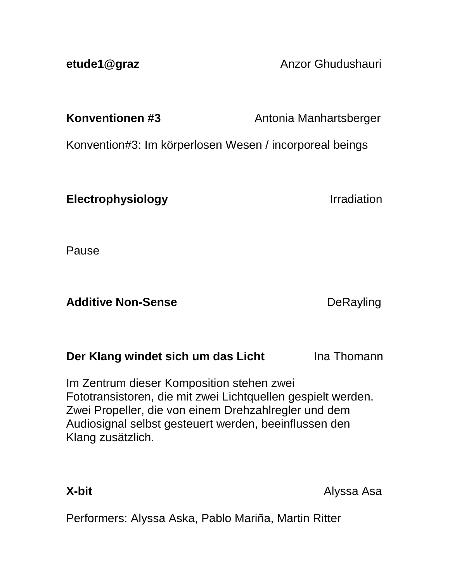**etude1@graz Anzor Ghudushauri Anzor Ghudushauri** 

**Konventionen #3** Antonia Manhartsberger

Konvention#3: Im körperlosen Wesen / incorporeal beings

**Electrophysiology Irradiation** 

Pause

Additive Non-Sense **DeRayling** 

**Der Klang windet sich um das Licht** Ina Thomann

Im Zentrum dieser Komposition stehen zwei Fototransistoren, die mit zwei Lichtquellen gespielt werden. Zwei Propeller, die von einem Drehzahlregler und dem Audiosignal selbst gesteuert werden, beeinflussen den Klang zusätzlich.

**X-bit** Alyssa Asa

Performers: Alyssa Aska, Pablo Mariña, Martin Ritter